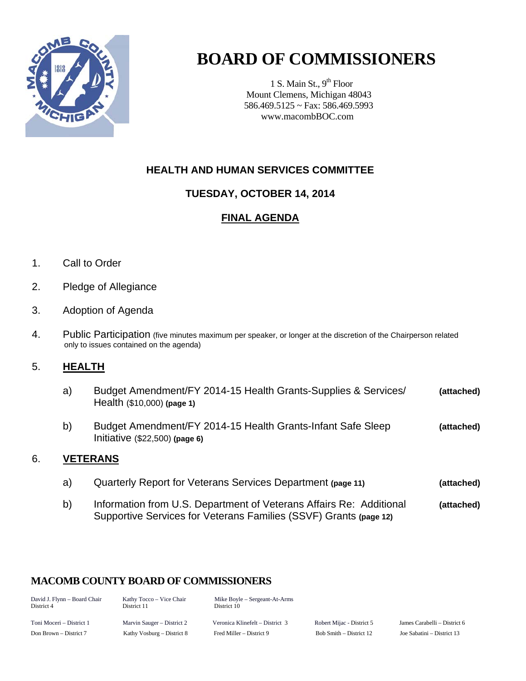

# **BOARD OF COMMISSIONERS**

1 S. Main St.,  $9<sup>th</sup>$  Floor Mount Clemens, Michigan 48043 586.469.5125 ~ Fax: 586.469.5993 www.macombBOC.com

# **HEALTH AND HUMAN SERVICES COMMITTEE**

## **TUESDAY, OCTOBER 14, 2014**

## **FINAL AGENDA**

- 1. Call to Order
- 2. Pledge of Allegiance
- 3. Adoption of Agenda
- 4. Public Participation (five minutes maximum per speaker, or longer at the discretion of the Chairperson related only to issues contained on the agenda)

## 5. **HEALTH**

- a) Budget Amendment/FY 2014-15 Health Grants-Supplies & Services/ **(attached)** Health (\$10,000) **(page 1)**
- b) Budget Amendment/FY 2014-15 Health Grants-Infant Safe Sleep **(attached)** Initiative (\$22,500) **(page 6)**

### 6. **VETERANS**

- a) Quarterly Report for Veterans Services Department **(page 11) (attached)**
- b) Information from U.S. Department of Veterans Affairs Re: Additional **(attached)** Supportive Services for Veterans Families (SSVF) Grants **(page 12)**

## **MACOMB COUNTY BOARD OF COMMISSIONERS**

| David J. Flynn - Board Chair<br>District 4 | Kathy Tocco – Vice Chair<br>District 11 | Mike Boyle – Sergeant-At-Arms<br>District 10 |                           |                              |
|--------------------------------------------|-----------------------------------------|----------------------------------------------|---------------------------|------------------------------|
| Toni Moceri – District 1                   | Marvin Sauger – District 2              | Veronica Klinefelt – District 3              | Robert Mijac - District 5 | James Carabelli – District 6 |
| Don Brown – District 7                     | Kathy Vosburg – District 8              | Fred Miller – District 9                     | Bob Smith – District 12   | Joe Sabatini – District 13   |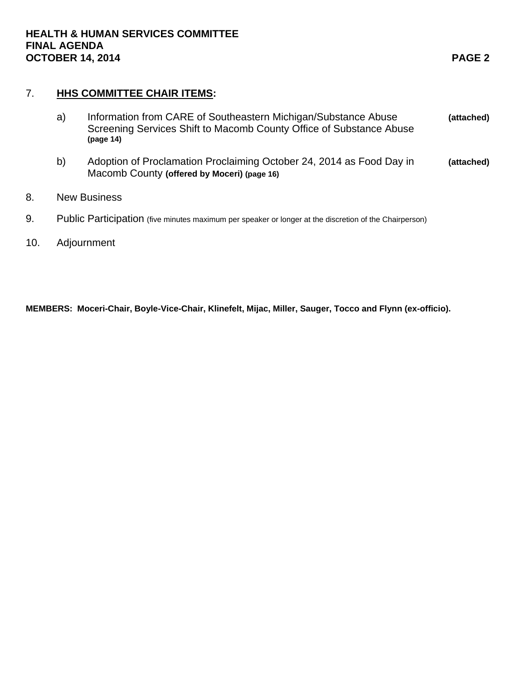## 7. **HHS COMMITTEE CHAIR ITEMS:**

|    | Information from CARE of Southeastern Michigan/Substance Abuse<br>a)<br>Screening Services Shift to Macomb County Office of Substance Abuse<br>(page 14) |                                                                                                                     | (attached) |  |
|----|----------------------------------------------------------------------------------------------------------------------------------------------------------|---------------------------------------------------------------------------------------------------------------------|------------|--|
|    | b)                                                                                                                                                       | Adoption of Proclamation Proclaiming October 24, 2014 as Food Day in<br>Macomb County (offered by Moceri) (page 16) | (attached) |  |
| 8. |                                                                                                                                                          | <b>New Business</b>                                                                                                 |            |  |
| 9. | Public Participation (five minutes maximum per speaker or longer at the discretion of the Chairperson)                                                   |                                                                                                                     |            |  |

10. Adjournment

**MEMBERS: Moceri-Chair, Boyle-Vice-Chair, Klinefelt, Mijac, Miller, Sauger, Tocco and Flynn (ex-officio).**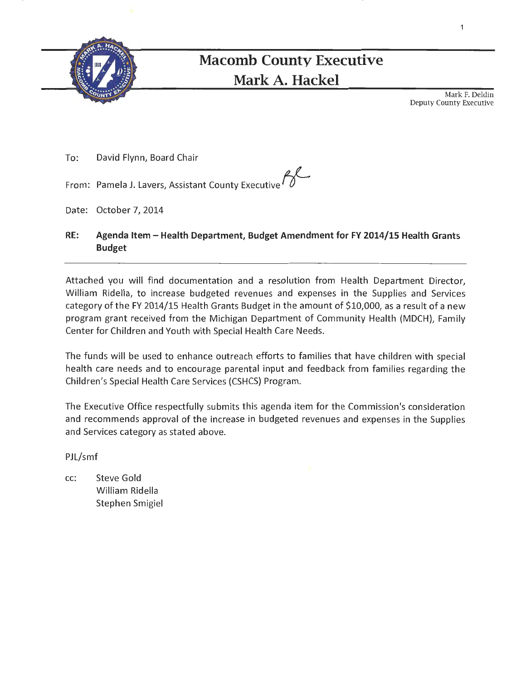

# **Macomb County Executive Mark A. Hackel**

Mark F. Deldin Deputy County Executive

To: David Flynn, Board Chair

From: Pamela J. Lavers, Assistant County Executive *f{--*

- Date: October 7, 2014
- **RE: Agenda Item- Health Department, Budget Amendment for FY 2014/15 Health Grants Budget**

Attached you will find documentation and a resolution from Health Department Director, William Ridella, to increase budgeted revenues and expenses in the Supplies and Services category of the FY 2014/15 Health Grants Budget in the amount of \$10,000, as a result of a new program grant received from the Michigan Department of Community Health (MDCH), Family Center for Children and Youth with Special Health Care Needs.

The funds will be used to enhance outreach efforts to families that have children with special health care needs and to encourage parental input and feedback from families regarding the Children's Special Health Care Services (CSHCS) Program.

The Executive Office respectfully submits this agenda item for the Commission's consideration and recommends approval of the increase in budgeted revenues and expenses in the Supplies and Services category as stated above.

PJL/smf

cc: Steve Gold William Ridella Stephen Smigiel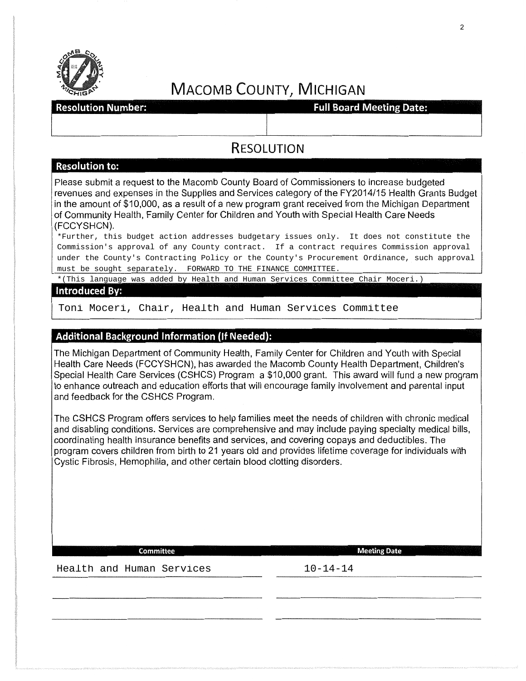

# **MACOMB COUNTY, MICHIGAN**

#### **Resolution Number:**

**Full Board Meeting Date:** 

# RESOLUTION

#### **Resolution to:**

Please submit a request to the Macomb County Board of Commissioners to increase budgeted revenues and expenses in the Supplies and Services category of the FY2014/15 Health Grants Budget in the amount of \$10,000, as a result of a new program grant received from the Michigan Department of Community Health, Family Center for Children and Youth with Special Health Care Needs (FCCYSHCN).

\*Further, this budget action addresses budgetary issues only. It does not constitute the Commission's approval of any County contract. If a contract requires Commission approval under the County's Contracting Policy or the County's Procurement Ordinance, such approval must be sought separately. FORWARD TO THE FINANCE COMMITTEE.

\*(This language was added by Health and Human Services Committee Chair Moceri.)

#### **Introduced By:**

Toni Moceri, Chair, Health and Human Services Committee

#### **Additional Background Information (If Needed):**

The Michigan Department of Community Health, Family Center for Children and Youth with Special Health Care Needs (FCCYSHCN), has awarded the Macomb County Health Department, Children's Special Health Care Services (CSHCS) Program a \$10,000 grant. This award will fund a new program to enhance outreach and education efforts that will encourage family involvement and parental input and feedback for the CSHCS Program.

The CSHCS Program offers services to help families meet the needs of children with chronic medical and disabling conditions. Services are comprehensive and may include paying specialty medical bills, coordinating health insurance benefits and services, and covering copays and deductibles. The program covers children from birth to 21 years old and provides lifetime coverage for individuals with Cystic Fibrosis, Hemophilia, and other certain blood clotting disorders.

**Committee Meeting Date** 

Health and Human Services 10-14-14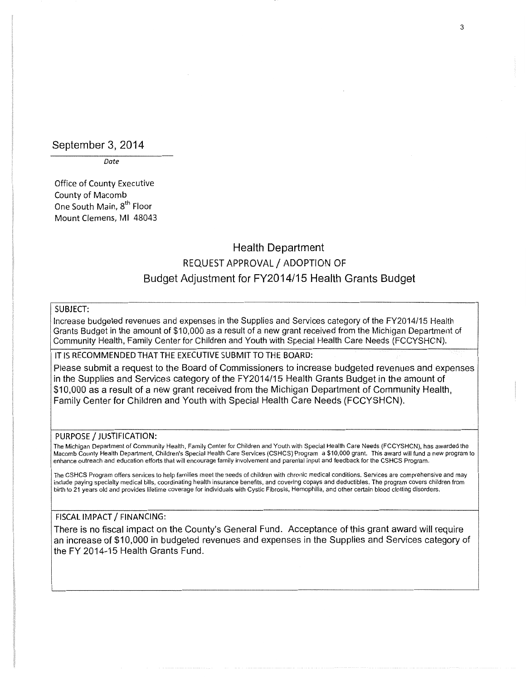#### September 3, 2014

*Date* 

Office of County Executive County of Macomb One South Main, 8<sup>th</sup> Floor Mount Clemens, Ml 48043

# Health Department REQUEST APPROVAL/ ADOPTION OF Budget Adjustment for FY2014/15 Health Grants Budget

#### SUBJECT:

Increase budgeted revenues and expenses in the Supplies and Services category of the FY2014/15 Health Grants Budget in the amount of \$10,000 as a result of a new grant received from the Michigan Department of Community Health, Family Center for Children and Youth with Special Health Care Needs (FCCYSHCN).

#### IT IS RECOMMENDED THAT THE EXECUTIVE SUBMIT TO THE BOARD:

Please submit a request to the Board of Commissioners to increase budgeted revenues and expenses in the Supplies and Services category of the FY2014/15 Health Grants Budget in the amount of \$10,000 as a result of a new grant received from the Michigan Department of Community Health, Family Center for Children and Youth with Special Health Care Needs (FCCYSHCN).

#### PURPOSE / JUSTIFICATION:

The Michigan Department of Community Health. Family Center for Children and Youth with Special Health Care Needs (FCCYSHCN). has awarded the Macomb County Health Department, Children's Special Health Care Services (CSHCS) Program a \$10,000 grant. This award will fund a new program to enhance outreach and education efforts that will encourage family involvement and parental input and feedback for the CSHCS Program.

The CSHCS Program offers services to help families meet the needs of children with chronic medical conditions. Services are comprehensive and may include paying specialty medical bills, coordinating health insurance benefits, and covering copays and deductibles. The program covers children from birth to 21 years old and provides lifetime coverage for individuals with Cystic Fibrosis, Hemophilia, and other certain blood clotting disorders.

#### FISCAL IMPACT / FINANCING:

There is no fiscal impact on the County's General Fund. Acceptance of this grant award will require an increase of \$10,000 in budgeted revenues and expenses in the Supplies and Services category of the FY 2014-15 Health Grants Fund.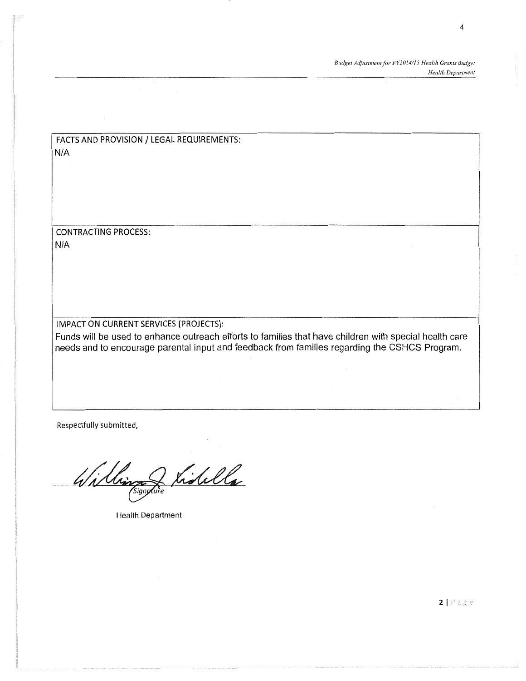*Budget Adjustment for FY2014!15 Health Grants Budget Health DeparTment* 

FACTS AND PROVISION/ LEGAL REQUIREMENTS: N/A

CONTRACTING PROCESS: N/A

#### IMPACT ON CURRENT SERVICES (PROJECTS):

Funds will be used to enhance outreach efforts to families that have children with special health care needs and to encourage parental input and feedback from families regarding the CSHCS Program.

Respectfully submitted,

Williams Listella

Health Department

4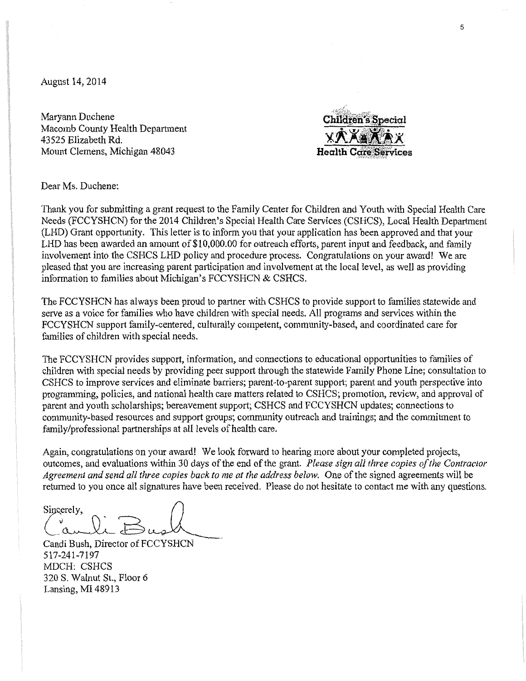August 14, 2014

Maryann Duchene Macomb County Health Department 43525 Elizabeth Rd. Mount Clemens, Michigan 48043

**Children's Special Health Care Services** 

Dear Ms. Duchene:

Thank you for submitting a grant request to the Family Center for Children and Youth with Special Health Care Needs (FCCYSHCN) for the 2014 Children's Special Health Care Services (CSHCS), Local Health Department (LHD) Grant opportunity. This letter is to inform you that your application has been approved and that your LHD has been awarded an amount of \$10,000.00 for outreach efforts, parent input and feedback, and family involvement into the CSHCS LHD policy and procedure process. Congratulations on your award! We are pleased that you are increasing parent participation and involvement at the local level, as well as providing information to families about Michigan's FCCYSHCN & CSHCS.

The FCCYSHCN has always been proud to partner with CSHCS to provide support to families statewide and serve as a voice for families who have children with special needs. All programs and services within the FCCYSHCN support family-centered, culturally competent, community-based, and coordinated care for families of children with special needs.

The FCCYSHCN provides support, information, and connections to educational opportunities to families of children with special needs by providing peer support through the statewide Family Phone Line; consultation to CSHCS to improve services and eliminate barriers; parent-to-parent support; parent and youth perspective into programming, policies, and national health care matters related to CSHCS; promotion, review, and approval of parent and youth scholarships; bereavement support; CSHCS and FCCYSHCN updates; connections to community-based resources and support groups; community outreach and trainings; and the commitment to family/professional partnerships at all levels of health care.

Again, congratulations on your award! We look forward to hearing more about your completed projects, outcomes, and evaluations within 30 days of the end of the grant. *Please sign all three copies of the Contractor Agreement and send all three copies back to me at the address below.* One of the signed agreements will be returned to you once all signatures have been received. Please do not hesitate to contact me with any questions.

Sincerely,<br>Candi Bush, Director of FCCYSHCN

517-241-7197 MDCH: CSHCS 320 S. Walnut St., Floor 6 Lansing, MI 48913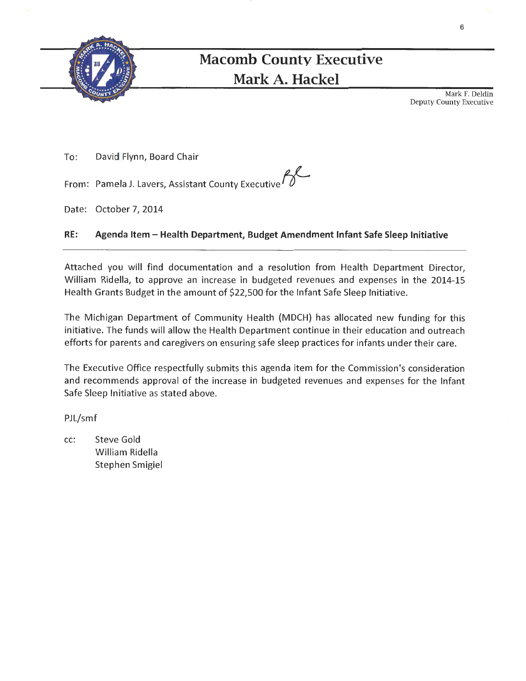

# **Macomb County Executive Mark A. Hackel**

Mark F. Deldin Deputy County Executive

To: David Flynn, Board Chair

From: Pamela J. Lavers, Assistant County Executive

Date: October 7, 2014

#### **RE: Agenda Item - Health Department, Budget Amendment Infant Safe Sleep Initiative**

Attached you will find documentation and a resolution from Health Department Director, William Ridella, to approve an increase in budgeted revenues and expenses in the 2014-15 Health Grants Budget in the amount of \$22,500 for the Infant Safe Sleep Initiative.

The Michigan Department of Community Health (MDCH) has allocated new funding for this initiative. The funds will allow the Health Department continue in their education and outreach efforts for parents and caregivers on ensuring safe sleep practices for infants under their care.

The Executive Office respectfully submits this agenda item for the Commission's consideration and recommends approval of the increase in budgeted revenues and expenses for the Infant Safe Sleep Initiative as stated above.

PJL/smf

cc: Steve Gold William Ridella Stephen Smigiel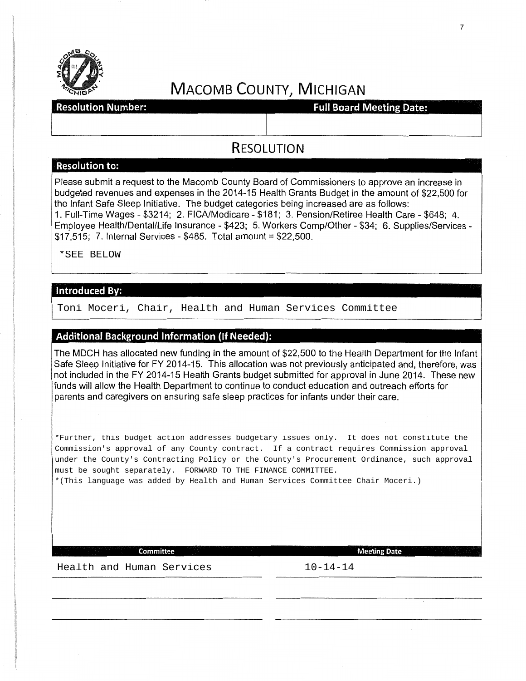

# MACOMB COUNTY, MICHIGAN

raam arabiist and the settlem with the settlem with the settlem with the Resolution Number:<br>Resolution Number: The Settlem With the Settlem Settlem Settlem Settlem Settlem Settlem Settlem Settlem Settlem

# **RESOLUTION**

#### **Resolution to:**

Please submit a request to the Macomb County Board of Commissioners to approve an increase in budgeted revenues and expenses in the 2014-15 Health Grants Budget in the amount of \$22,500 for the Infant Safe Sleep Initiative. The budget categories being increased are as follows: 1. Full-Time Wages- \$3214; 2. FICA/Medicare- \$181; 3. Pension/Retiree Health Care- \$648; 4. Employee Health/Dental/Life Insurance - \$423; 5. Workers Comp/Other- \$34; 6. Supplies/Services - \$17,515; 7. Internal Services- \$485. Total amount= \$22,500.

Toni Moceri, Chair, Health and Human Services Committee \*SEE BELOW

#### **Additional Background Information (If Needed):**

The MDCH has allocated new funding in the amount of \$22,500 to the Health Department for the Infant Safe Sleep Initiative for FY 2014-15. This allocation was not previously anticipated and, therefore, was not included in the FY 2014-15 Health Grants budget submitted for approval in June 2014. These new funds will allow the Health Department to continue to conduct education and outreach efforts for parents and caregivers on ensuring safe sleep practices for infants under their care.

\*Further, this budget action addresses budgetary issues only. It does not constitute the Commission's approval of any County contract. If a contract requires Commission approval under the County's Contracting Policy or the County's Procurement Ordinance, such approval must be sought separately. FORWARD TO THE FINANCE COMMITTEE.

\*(This language was added by Health and Human Services Committee Chair Moceri.)

**Committee Meeting Date** 

Health and Human Services 10-14-14

7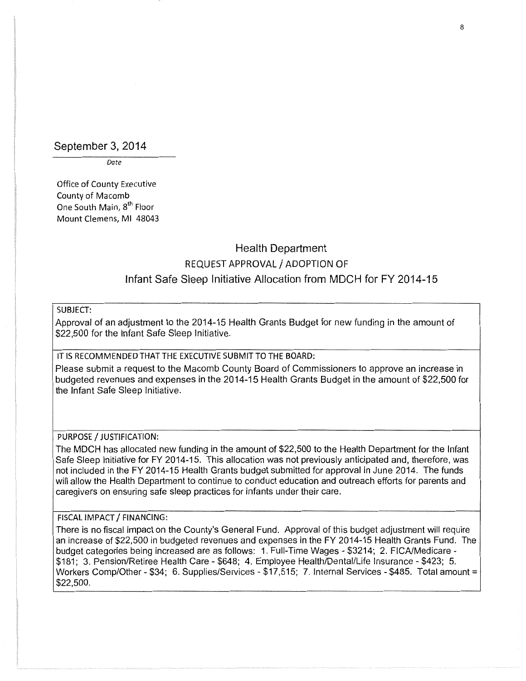September 3, 2014

Date

Office of County Executive County of Macomb One South Main, 8<sup>th</sup> Floor Mount Clemens, Ml 48043

# Health Department REQUEST APPROVAL/ ADOPTION OF Infant Safe Sleep Initiative Allocation from MDCH for FY 2014-15

#### SUBJECT:

Approval of an adjustment to the 2014-15 Health Grants Budget for new funding in the amount of \$22,500 for the Infant Safe Sleep Initiative.

#### IT IS RECOMMENDED THAT THE EXECUTIVE SUBMIT TO THE BOARD:

Please submit a request to the Macomb County Board of Commissioners to approve an increase in budgeted revenues and expenses in the 2014-15 Health Grants Budget in the amount of \$22,500 for the Infant Safe Sleep Initiative.

#### PURPOSE / JUSTIFICATION:

The MDCH has allocated new funding in the amount of \$22,500 to the Health Department for the Infant Safe Sleep Initiative for FY 2014-15. This allocation was not previously anticipated and, therefore, was not included in the FY 2014-15 Health Grants budget submitted for approval in June 2014. The funds will allow the Health Department to continue to conduct education and outreach efforts for parents and caregivers on ensuring safe sleep practices for infants under their care.

#### FISCAL IMPACT / FINANCING:

There is no fiscal impact on the County's General Fund. Approval of this budget adjustment will require an increase of \$22,500 in budgeted revenues and expenses in the FY 2014-15 Health Grants Fund. The budget categories being increased are as follows: 1. Full-Time Wages- \$3214; 2. FICA/Medicare- \$181; 3. Pension/Retiree Health Care- \$648; 4. Employee Health/Dental/Life Insurance- \$423; 5. Workers Comp/Other - \$34; 6. Supplies/Services - \$17,515; 7. Internal Services - \$485. Total amount = \$22,500.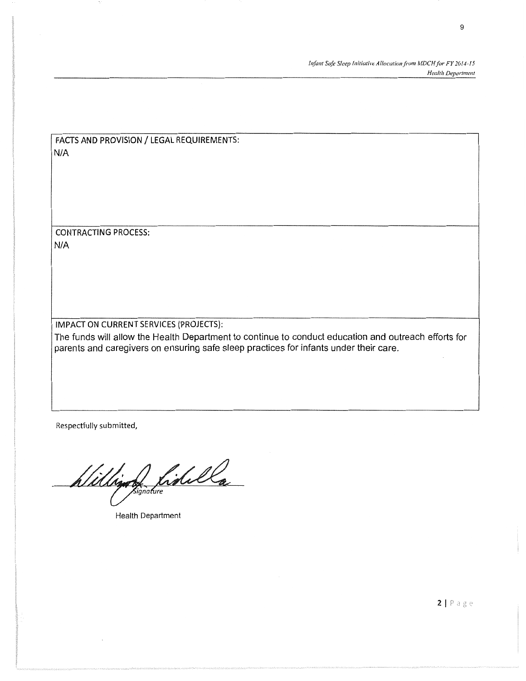*fnjimt Safe Sleep Initiative Allocationji-om MDCHfor FY 2014-15 Health Department* 

FACTS AND PROVISION/ LEGAL REQUIREMENTS: N/A

CONTRACTING PROCESS: N/A

IMPACT ON CURRENT SERVICES (PROJECTS):

The funds will allow the Health Department to continue to conduct education and outreach efforts for parents and caregivers on ensuring safe sleep practices for infants under their care.

Respectfully submitted,

William Lidella

Health Department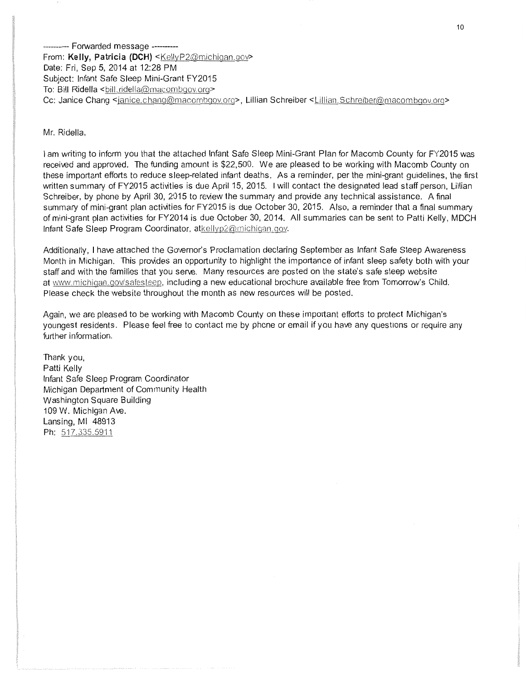--------- Forwarded message ---------- From: Kelly, Patricia (DCH) <KellyP2@michigan.gov> Date: Fri, Sep 5, 2014 at 12:28 PM Subject: Infant Safe Sleep Mini-Grant FY2015 To: Bill Ridella <bill.ridella@macombgov.org> Cc: Janice Chang <janice.chang@macombgov.org>, Lillian Schreiber <Lillian.Schreiber@macombgov.org>

Mr. Ridella,

I am writing to inform you that the attached Infant Safe Sleep Mini-Grant Plan for Macomb County for FY2015 was received and approved. The funding amount is \$22,500. We are pleased to be working with Macomb County on these important efforts to reduce sleep-related infant deaths. As a reminder, per the mini-grant guidelines, the first written summary of FY2015 activities is due April 15, 2015. I will contact the designated lead staff person, Lillian Schreiber, by phone by April 30, 2015 to review the summary and provide any technical assistance. A final summary of mini-grant plan activities for FY2015 is due October 30, 2015. Also, a reminder that a final summary of mini-grant plan activities for FY2014 is due October 30, 2014. All summaries can be sent to Patti Kelly, MDCH Infant Safe Sleep Program Coordinator, atkellyp2@michigan.gov.

Additionally, I have attached the Governor's Proclamation declaring September as Infant Safe Sleep Awareness Month in Michigan. This provides an opportunity to highlight the importance of infant sleep safety both with your staff and with the families that you serve. Many resources are posted on the state's safe sleep website at www.michigan.gov/safesleep, including a new educational brochure available free from Tomorrow's Child. Please check the website throughout the month as new resources will be posted.

Again, we are pleased to be working with Macomb County on these important efforts to protect Michigan's youngest residents. Please feel free to contact me by phone or email if you have any questions or require any further information.

Thank you, Patti Kelly Infant Safe Sleep Program Coordinator Michigan Department of Community Health Washington Square Building 109 W. Michigan Ave. Lansing, Ml 48913 Ph: 517.335.5911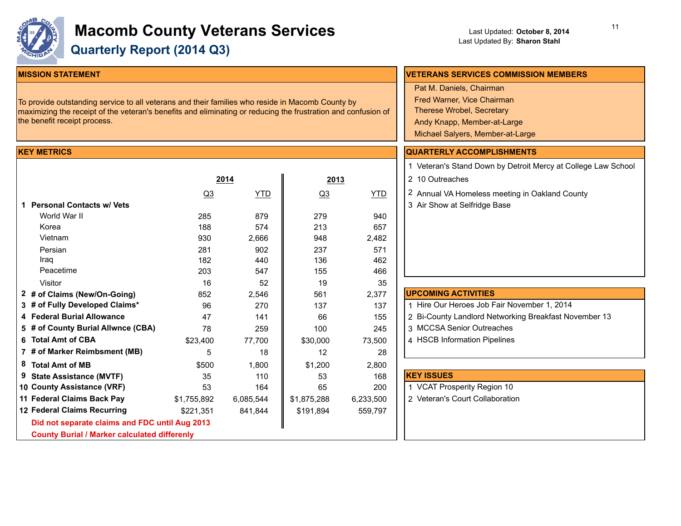

# **Macomb County Veterans Services Quarterly Report (2014 Q3)**

#### **MISSION STATEMENT**

To provide outstanding service to all veterans and their families who reside in Macomb County by maximizing the receipt of the veteran's benefits and eliminating or reducing the frustration and confusion of the benefit receipt process.

#### **KEY METRICS**

|                                                     |             | 2014      | 2013           |           | 2 10 Outreaches     |
|-----------------------------------------------------|-------------|-----------|----------------|-----------|---------------------|
|                                                     | <u>Q3</u>   | YTD       | Q <sub>3</sub> | YTD       | 2 Annual VA Hon     |
| 1 Personal Contacts w/ Vets                         |             |           |                |           | 3 Air Show at Se    |
| World War II                                        | 285         | 879       | 279            | 940       |                     |
| Korea                                               | 188         | 574       | 213            | 657       |                     |
| Vietnam                                             | 930         | 2.666     | 948            | 2,482     |                     |
| Persian                                             | 281         | 902       | 237            | 571       |                     |
| Iraq                                                | 182         | 440       | 136            | 462       |                     |
| Peacetime                                           | 203         | 547       | 155            | 466       |                     |
| Visitor                                             | 16          | 52        | 19             | 35        |                     |
| 2 # of Claims (New/On-Going)                        | 852         | 2,546     | 561            | 2,377     | <b>UPCOMING ACT</b> |
| 3 # of Fully Developed Claims*                      | 96          | 270       | 137            | 137       | 1 Hire Our Heroe    |
| 4 Federal Burial Allowance                          | 47          | 141       | 66             | 155       | 2 Bi-County Land    |
| 5 # of County Burial Allwnce (CBA)                  | 78          | 259       | 100            | 245       | 3 MCCSA Senior      |
| 6 Total Amt of CBA                                  | \$23,400    | 77,700    | \$30,000       | 73,500    | 4 HSCB Informa      |
| 7 # of Marker Reimbsment (MB)                       | 5           | 18        | 12             | 28        |                     |
| 8 Total Amt of MB                                   | \$500       | 1,800     | \$1,200        | 2,800     |                     |
| 9 State Assistance (MVTF)                           | 35          | 110       | 53             | 168       | <b>KEY ISSUES</b>   |
| 10 County Assistance (VRF)                          | 53          | 164       | 65             | 200       | 1 VCAT Prosperi     |
| 11 Federal Claims Back Pay                          | \$1,755,892 | 6,085,544 | \$1,875,288    | 6,233,500 | 2 Veteran's Cour    |
| 12 Federal Claims Recurring                         | \$221.351   | 841.844   | \$191,894      | 559,797   |                     |
| Did not separate claims and FDC until Aug 2013      |             |           |                |           |                     |
| <b>County Burial / Marker calculated differenly</b> |             |           |                |           |                     |

# **VETERANS SERVICES COMMISSION MEMBERS** 1 Veteran's Stand Down by Detroit Mercy at College Law School  $\overline{D}$  |  $\overline{2}$  Annual VA Homeless meeting in Oakland County **QUARTERLY ACCOMPLISHMENTS** Pat M. Daniels, Chairman Fred Warner, Vice Chairman Therese Wrobel, Secretary Andy Knapp, Member-at-Large Michael Salyers, Member-at-Large

3 Air Show at Selfridge Base

| 1 Hire Our Heroes Job Fair November 1, 2014<br>2 Bi-County Landlord Networking Breakfast November 13 |
|------------------------------------------------------------------------------------------------------|
|                                                                                                      |
| 3 MCCSA Senior Outreaches                                                                            |
| 4 HSCB Information Pipelines                                                                         |

| <b>KEY ISSUES</b>               |
|---------------------------------|
| 1 VCAT Prosperity Region 10     |
| 2 Veteran's Court Collaboration |
|                                 |
|                                 |
|                                 |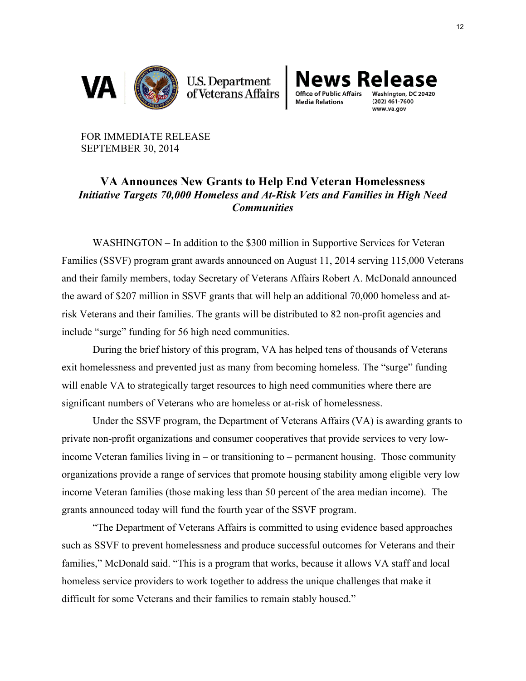

**U.S. Department**<br>of Veterans Affairs



www.va.gov

FOR IMMEDIATE RELEASE SEPTEMBER 30, 2014

## **VA Announces New Grants to Help End Veteran Homelessness** *Initiative Targets 70,000 Homeless and At-Risk Vets and Families in High Need Communities*

WASHINGTON – In addition to the \$300 million in Supportive Services for Veteran Families (SSVF) program grant awards announced on August 11, 2014 serving 115,000 Veterans and their family members, today Secretary of Veterans Affairs Robert A. McDonald announced the award of \$207 million in SSVF grants that will help an additional 70,000 homeless and atrisk Veterans and their families. The grants will be distributed to 82 non-profit agencies and include "surge" funding for 56 high need communities.

During the brief history of this program, VA has helped tens of thousands of Veterans exit homelessness and prevented just as many from becoming homeless. The "surge" funding will enable VA to strategically target resources to high need communities where there are significant numbers of Veterans who are homeless or at-risk of homelessness.

Under the SSVF program, the Department of Veterans Affairs (VA) is awarding grants to private non-profit organizations and consumer cooperatives that provide services to very lowincome Veteran families living in – or transitioning to – permanent housing. Those community organizations provide a range of services that promote housing stability among eligible very low income Veteran families (those making less than 50 percent of the area median income). The grants announced today will fund the fourth year of the SSVF program.

"The Department of Veterans Affairs is committed to using evidence based approaches such as SSVF to prevent homelessness and produce successful outcomes for Veterans and their families," McDonald said. "This is a program that works, because it allows VA staff and local homeless service providers to work together to address the unique challenges that make it difficult for some Veterans and their families to remain stably housed."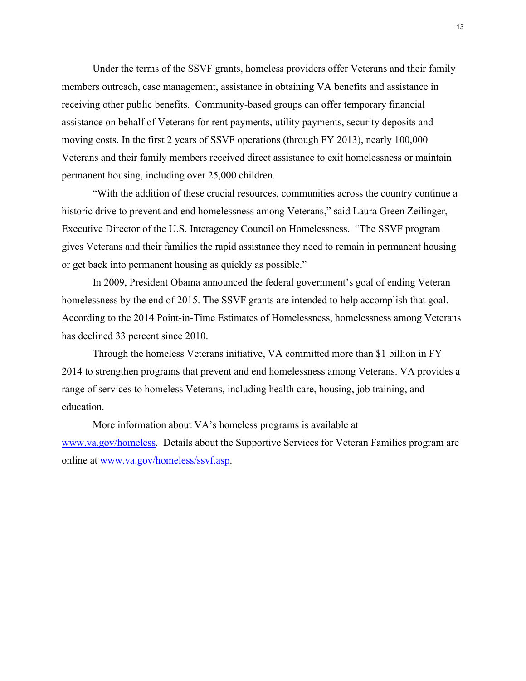Under the terms of the SSVF grants, homeless providers offer Veterans and their family members outreach, case management, assistance in obtaining VA benefits and assistance in receiving other public benefits. Community-based groups can offer temporary financial assistance on behalf of Veterans for rent payments, utility payments, security deposits and moving costs. In the first 2 years of SSVF operations (through FY 2013), nearly 100,000 Veterans and their family members received direct assistance to exit homelessness or maintain permanent housing, including over 25,000 children.

"With the addition of these crucial resources, communities across the country continue a historic drive to prevent and end homelessness among Veterans," said Laura Green Zeilinger, Executive Director of the U.S. Interagency Council on Homelessness. "The SSVF program gives Veterans and their families the rapid assistance they need to remain in permanent housing or get back into permanent housing as quickly as possible."

In 2009, President Obama announced the federal government's goal of ending Veteran homelessness by the end of 2015. The SSVF grants are intended to help accomplish that goal. According to the 2014 Point-in-Time Estimates of Homelessness, homelessness among Veterans has declined 33 percent since 2010.

Through the homeless Veterans initiative, VA committed more than \$1 billion in FY 2014 to strengthen programs that prevent and end homelessness among Veterans. VA provides a range of services to homeless Veterans, including health care, housing, job training, and education.

More information about VA's homeless programs is available at www.va.gov/homeless. Details about the Supportive Services for Veteran Families program are online at www.va.gov/homeless/ssvf.asp.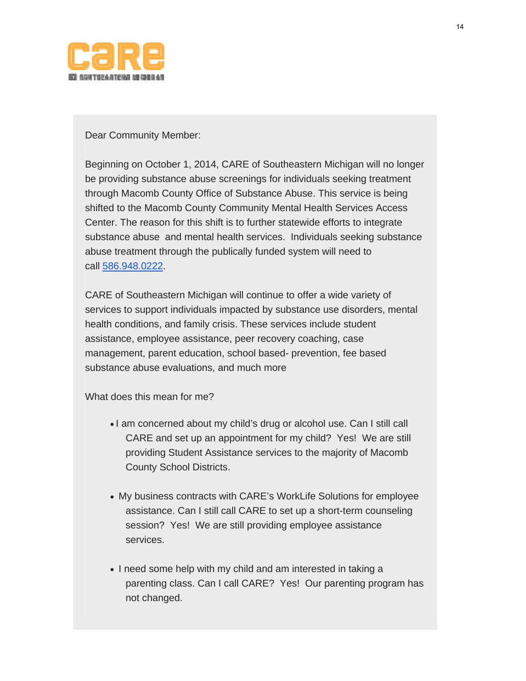

Dear Community Member:

Beginning on October 1, 2014, CARE of Southeastern Michigan will no longer be providing substance abuse screenings for individuals seeking treatment through Macomb County Office of Substance Abuse. This service is being shifted to the Macomb County Community Mental Health Services Access Center. The reason for this shift is to further statewide efforts to integrate substance abuse and mental health services. Individuals seeking substance abuse treatment through the publically funded system will need to call 586.948.0222.

CARE of Southeastern Michigan will continue to offer a wide variety of services to support individuals impacted by substance use disorders, mental health conditions, and family crisis. These services include student assistance, employee assistance, peer recovery coaching, case management, parent education, school based- prevention, fee based substance abuse evaluations, and much more

What does this mean for me?

- I am concerned about my child's drug or alcohol use. Can I still call CARE and set up an appointment for my child? Yes! We are still providing Student Assistance services to the majority of Macomb County School Districts.
- My business contracts with CARE's WorkLife Solutions for employee assistance. Can I still call CARE to set up a short-term counseling session? Yes! We are still providing employee assistance services.
- I need some help with my child and am interested in taking a parenting class. Can I call CARE? Yes! Our parenting program has not changed.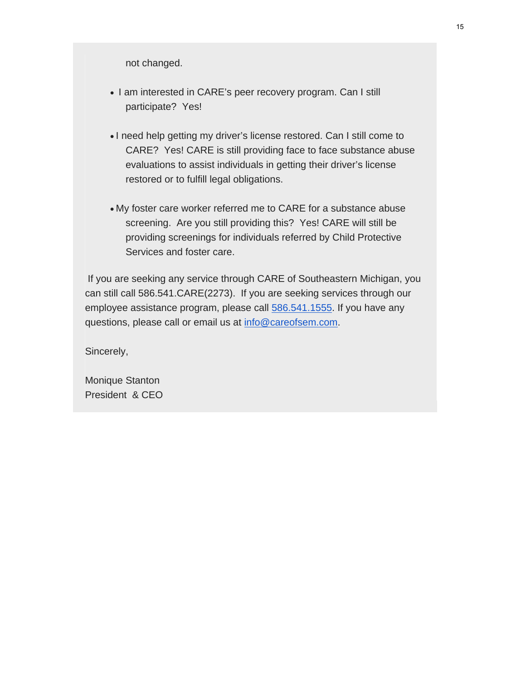not changed.

- I am interested in CARE's peer recovery program. Can I still participate? Yes!
- I need help getting my driver's license restored. Can I still come to CARE? Yes! CARE is still providing face to face substance abuse evaluations to assist individuals in getting their driver's license restored or to fulfill legal obligations.
- My foster care worker referred me to CARE for a substance abuse screening. Are you still providing this? Yes! CARE will still be providing screenings for individuals referred by Child Protective Services and foster care.

 If you are seeking any service through CARE of Southeastern Michigan, you can still call 586.541.CARE(2273). If you are seeking services through our employee assistance program, please call 586.541.1555. If you have any questions, please call or email us at [info@careofsem.com](mailto:info@careofsem.com).

Sincerely,

Monique Stanton President & CEO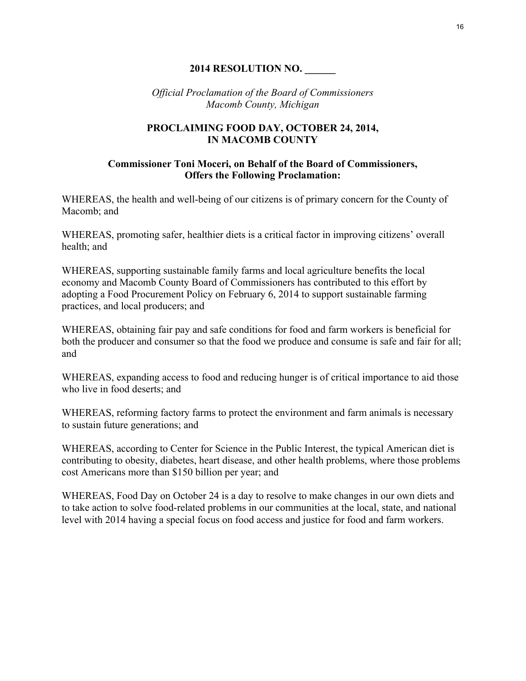### **2014 RESOLUTION NO. \_\_\_\_\_\_**

*Official Proclamation of the Board of Commissioners Macomb County, Michigan*

#### **PROCLAIMING FOOD DAY, OCTOBER 24, 2014, IN MACOMB COUNTY**

#### **Commissioner Toni Moceri, on Behalf of the Board of Commissioners, Offers the Following Proclamation:**

WHEREAS, the health and well-being of our citizens is of primary concern for the County of Macomb; and

WHEREAS, promoting safer, healthier diets is a critical factor in improving citizens' overall health; and

WHEREAS, supporting sustainable family farms and local agriculture benefits the local economy and Macomb County Board of Commissioners has contributed to this effort by adopting a Food Procurement Policy on February 6, 2014 to support sustainable farming practices, and local producers; and

WHEREAS, obtaining fair pay and safe conditions for food and farm workers is beneficial for both the producer and consumer so that the food we produce and consume is safe and fair for all; and

WHEREAS, expanding access to food and reducing hunger is of critical importance to aid those who live in food deserts; and

WHEREAS, reforming factory farms to protect the environment and farm animals is necessary to sustain future generations; and

WHEREAS, according to Center for Science in the Public Interest, the typical American diet is contributing to obesity, diabetes, heart disease, and other health problems, where those problems cost Americans more than \$150 billion per year; and

WHEREAS, Food Day on October 24 is a day to resolve to make changes in our own diets and to take action to solve food-related problems in our communities at the local, state, and national level with 2014 having a special focus on food access and justice for food and farm workers.